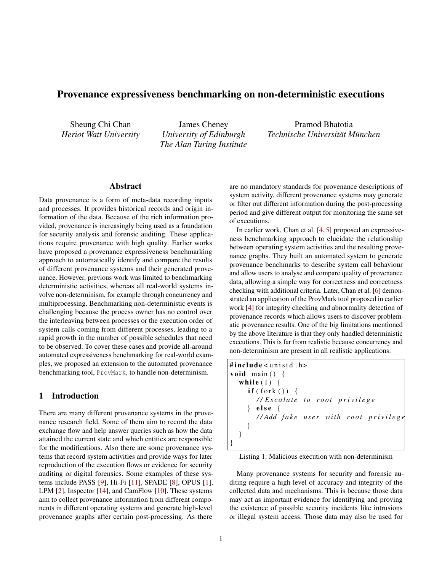# Provenance expressiveness benchmarking on non-deterministic executions

Sheung Chi Chan *Heriot Watt University*

James Cheney *University of Edinburgh The Alan Turing Institute*

Pramod Bhatotia *Technische Universität München*

# Abstract

Data provenance is a form of meta-data recording inputs and processes. It provides historical records and origin information of the data. Because of the rich information provided, provenance is increasingly being used as a foundation for security analysis and forensic auditing. These applications require provenance with high quality. Earlier works have proposed a provenance expressiveness benchmarking approach to automatically identify and compare the results of different provenance systems and their generated provenance. However, previous work was limited to benchmarking deterministic activities, whereas all real-world systems involve non-determinism, for example through concurrency and multiprocessing. Benchmarking non-deterministic events is challenging because the process owner has no control over the interleaving between processes or the execution order of system calls coming from different processes, leading to a rapid growth in the number of possible schedules that need to be observed. To cover these cases and provide all-around automated expressiveness benchmarking for real-world examples, we proposed an extension to the automated provenance benchmarking tool, ProvMark, to handle non-determinism.

#### 1 Introduction

There are many different provenance systems in the provenance research field. Some of them aim to record the data exchange flow and help answer queries such as how the data attained the current state and which entities are responsible for the modifications. Also there are some provenance systems that record system activities and provide ways for later reproduction of the execution flows or evidence for security auditing or digital forensics. Some examples of these systems include PASS [\[9\]](#page-8-0), Hi-Fi [\[11\]](#page-8-1), SPADE [\[8\]](#page-8-2), OPUS [\[1\]](#page-8-3), LPM [\[2\]](#page-8-4), Inspector [\[14\]](#page-8-5), and CamFlow [\[10\]](#page-8-6). These systems aim to collect provenance information from different components in different operating systems and generate high-level provenance graphs after certain post-processing. As there

are no mandatory standards for provenance descriptions of system activity, different provenance systems may generate or filter out different information during the post-processing period and give different output for monitoring the same set of executions.

In earlier work, Chan et al. [\[4,](#page-8-7) [5\]](#page-8-8) proposed an expressiveness benchmarking approach to elucidate the relationship between operating system activities and the resulting provenance graphs. They built an automated system to generate provenance benchmarks to describe system call behaviour and allow users to analyse and compare quality of provenance data, allowing a simple way for correctness and correctness checking with additional criteria. Later, Chan et al. [\[6\]](#page-8-9) demonstrated an application of the ProvMark tool proposed in earlier work [\[4\]](#page-8-7) for integrity checking and abnormality detection of provenance records which allows users to discover problematic provenance results. One of the big limitations mentioned by the above literature is that they only handled deterministic executions. This is far from realistic because concurrency and non-determinism are present in all realistic applications.

```
\#include \lequnistd.h>
void main () {
   while (1) {
      if (fork ())/ / E s c a l a t e t o r o o t p r i v i l e g e
      \} else {
         / / Add f a k e u s e r wit h r o o t p r i v i l e g e
      }
   }
}
```
Listing 1: Malicious execution with non-determinism

Many provenance systems for security and forensic auditing require a high level of accuracy and integrity of the collected data and mechanisms. This is because those data may act as important evidence for identifying and proving the existence of possible security incidents like intrusions or illegal system access. Those data may also be used for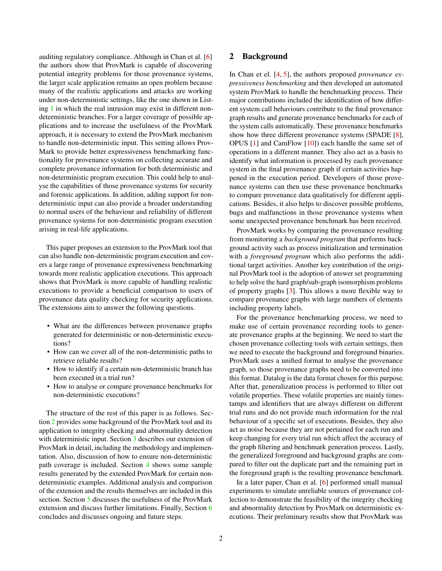auditing regulatory compliance. Although in Chan et al. [\[6\]](#page-8-9) the authors show that ProvMark is capable of discovering potential integrity problems for those provenance systems, the larger scale application remains an open problem because many of the realistic applications and attacks are working under non-deterministic settings, like the one shown in Listing [1](#page-0-0) in which the real intrusion may exist in different nondeterministic branches. For a larger coverage of possible applications and to increase the usefulness of the ProvMark approach, it is necessary to extend the ProvMark mechanism to handle non-deterministic input. This setting allows Prov-Mark to provide better expressiveness benchmarking functionality for provenance systems on collecting accurate and complete provenance information for both deterministic and non-deterministic program execution. This could help to analyse the capabilities of those provenance systems for security and forensic applications. In addition, adding support for nondeterministic input can also provide a broader understanding to normal users of the behaviour and reliability of different provenance systems for non-deterministic program execution arising in real-life applications.

This paper proposes an extension to the ProvMark tool that can also handle non-deterministic program execution and covers a large range of provenance expressiveness benchmarking towards more realistic application executions. This approach shows that ProvMark is more capable of handling realistic executions to provide a beneficial comparison to users of provenance data quality checking for security applications. The extensions aim to answer the following questions.

- What are the differences between provenance graphs generated for deterministic or non-deterministic executions?
- How can we cover all of the non-deterministic paths to retrieve reliable results?
- How to identify if a certain non-deterministic branch has been executed in a trial run?
- How to analyse or compare provenance benchmarks for non-deterministic executions?

The structure of the rest of this paper is as follows. Section [2](#page-1-0) provides some background of the ProvMark tool and its application to integrity checking and abnormality detection with deterministic input. Section [3](#page-2-0) describes our extension of ProvMark in detail, including the methodology and implementation. Also, discussion of how to ensure non-deterministic path coverage is included. Section [4](#page-5-0) shows some sample results generated by the extended ProvMark for certain nondeterministic examples. Additional analysis and comparison of the extension and the results themselves are included in this section. Section [5](#page-6-0) discusses the usefulness of the ProvMark extension and discuss further limitations. Finally, Section [6](#page-7-0) concludes and discusses ongoing and future steps.

# <span id="page-1-0"></span>2 Background

In Chan et el. [\[4,](#page-8-7) [5\]](#page-8-8), the authors proposed *provenance expressiveness benchmarking* and then developed an automated system ProvMark to handle the benchmarking process. Their major contributions included the identification of how different system call behaviours contribute to the final provenance graph results and generate provenance benchmarks for each of the system calls automatically. These provenance benchmarks show how three different provenance systems (SPADE [\[8\]](#page-8-2), OPUS [\[1\]](#page-8-3) and CamFlow [\[10\]](#page-8-6)) each handle the same set of operations in a different manner. They also act as a basis to identify what information is processed by each provenance system in the final provenance graph if certain activities happened in the execution period. Developers of those provenance systems can then use these provenance benchmarks to compare provenance data qualitatively for different applications. Besides, it also helps to discover possible problems, bugs and malfunctions in those provenance systems when some unexpected provenance benchmark has been received.

ProvMark works by comparing the provenance resulting from monitoring a *background program* that performs background activity such as process initialization and termination with a *foreground program* which also performs the additional target activities. Another key contribution of the original ProvMark tool is the adoption of answer set programming to help solve the hard graph/sub-graph isomorphism problems of property graphs [\[3\]](#page-8-10). This allows a more flexible way to compare provenance graphs with large numbers of elements including property labels.

For the provenance benchmarking process, we need to make use of certain provenance recording tools to generate provenance graphs at the beginning. We need to start the chosen provenance collecting tools with certain settings, then we need to execute the background and foreground binaries. ProvMark uses a unified format to analyse the provenance graph, so those provenance graphs need to be converted into this format. Datalog is the data format chosen for this purpose. After that, generalization process is performed to filter out volatile properties. These volatile properties are mainly timestamps and identifiers that are always different on different trial runs and do not provide much information for the real behaviour of a specific set of executions. Besides, they also act as noise because they are not pertained for each run and keep changing for every trial run which affect the accuracy of the graph filtering and benchmark generation process. Lastly, the generalized foreground and background graphs are compared to filter out the duplicate part and the remaining part in the foreground graph is the resulting provenance benchmark.

In a later paper, Chan et al. [\[6\]](#page-8-9) performed small manual experiments to simulate unreliable sources of provenance collection to demonstrate the feasibility of the integrity checking and abnormality detection by ProvMark on deterministic executions. Their preliminary results show that ProvMark was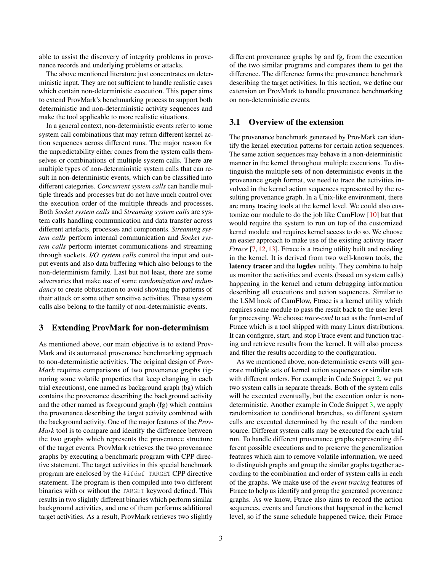able to assist the discovery of integrity problems in provenance records and underlying problems or attacks.

The above mentioned literature just concentrates on deterministic input. They are not sufficient to handle realistic cases which contain non-deterministic execution. This paper aims to extend ProvMark's benchmarking process to support both deterministic and non-deterministic activity sequences and make the tool applicable to more realistic situations.

In a general context, non-deterministic events refer to some system call combinations that may return different kernel action sequences across different runs. The major reason for the unpredictability either comes from the system calls themselves or combinations of multiple system calls. There are multiple types of non-deterministic system calls that can result in non-deterministic events, which can be classified into different categories. *Concurrent system calls* can handle multiple threads and processes but do not have much control over the execution order of the multiple threads and processes. Both *Socket system calls* and *Streaming system calls* are system calls handling communication and data transfer across different artefacts, processes and components. *Streaming system calls* perform internal communication and *Socket system calls* perform internet communications and streaming through sockets. *I/O system calls* control the input and output events and also data buffering which also belongs to the non-determinism family. Last but not least, there are some adversaries that make use of some *randomization and redundancy* to create obfuscation to avoid showing the patterns of their attack or some other sensitive activities. These system calls also belong to the family of non-deterministic events.

#### <span id="page-2-0"></span>3 Extending ProvMark for non-determinism

As mentioned above, our main objective is to extend Prov-Mark and its automated provenance benchmarking approach to non-deterministic activities. The original design of *Prov-Mark* requires comparisons of two provenance graphs (ignoring some volatile properties that keep changing in each trial executions), one named as background graph (bg) which contains the provenance describing the background activity and the other named as foreground graph (fg) which contains the provenance describing the target activity combined with the background activity. One of the major features of the *Prov-Mark* tool is to compare and identify the difference between the two graphs which represents the provenance structure of the target events. ProvMark retrieves the two provenance graphs by executing a benchmark program with CPP directive statement. The target activities in this special benchmark program are enclosed by the #ifdef TARGET CPP directive statement. The program is then compiled into two different binaries with or without the TARGET keyword defined. This results in two slightly different binaries which perform similar background activities, and one of them performs additional target activities. As a result, ProvMark retrieves two slightly

different provenance graphs bg and fg, from the execution of the two similar programs and compares them to get the difference. The difference forms the provenance benchmark describing the target activities. In this section, we define our extension on ProvMark to handle provenance benchmarking on non-deterministic events.

#### 3.1 Overview of the extension

The provenance benchmark generated by ProvMark can identify the kernel execution patterns for certain action sequences. The same action sequences may behave in a non-deterministic manner in the kernel throughout multiple executions. To distinguish the multiple sets of non-deterministic events in the provenance graph format, we need to trace the activities involved in the kernel action sequences represented by the resulting provenance graph. In a Unix-like environment, there are many tracing tools at the kernel level. We could also customize our module to do the job like CamFlow [\[10\]](#page-8-6) but that would require the system to run on top of the customized kernel module and requires kernel access to do so. We choose an easier approach to make use of the existing activity tracer *Ftrace* [\[7,](#page-8-11) [12,](#page-8-12) [13\]](#page-8-13). Ftrace is a tracing utility built and residing in the kernel. It is derived from two well-known tools, the latency tracer and the logdev utility. They combine to help us monitor the activities and events (based on system calls) happening in the kernel and return debugging information describing all executions and action sequences. Similar to the LSM hook of CamFlow, Ftrace is a kernel utility which requires some module to pass the result back to the user level for processing. We choose *trace-cmd* to act as the front-end of Ftrace which is a tool shipped with many Linux distributions. It can configure, start, and stop Ftrace event and function tracing and retrieve results from the kernel. It will also process and filter the results according to the configuration.

As we mentioned above, non-deterministic events will generate multiple sets of kernel action sequences or similar sets with different orders. For example in Code Snippet [2,](#page-3-0) we put two system calls in separate threads. Both of the system calls will be executed eventually, but the execution order is nondeterministic. Another example in Code Snippet [3,](#page-3-1) we apply randomization to conditional branches, so different system calls are executed determined by the result of the random source. Different system calls may be executed for each trial run. To handle different provenance graphs representing different possible executions and to preserve the generalization features which aim to remove volatile information, we need to distinguish graphs and group the similar graphs together according to the combination and order of system calls in each of the graphs. We make use of the *event tracing* features of Ftrace to help us identify and group the generated provenance graphs. As we know, Ftrace also aims to record the action sequences, events and functions that happened in the kernel level, so if the same schedule happened twice, their Ftrace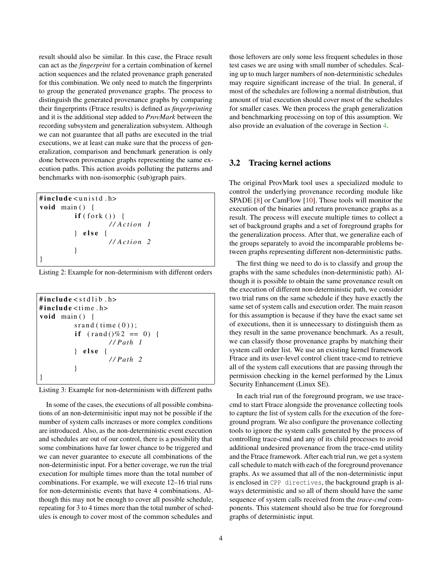result should also be similar. In this case, the Ftrace result can act as the *fingerprint* for a certain combination of kernel action sequences and the related provenance graph generated for this combination. We only need to match the fingerprints to group the generated provenance graphs. The process to distinguish the generated provenance graphs by comparing their fingerprints (Ftrace results) is defined as *fingerprinting* and it is the additional step added to *ProvMark* between the recording subsystem and generalization subsystem. Although we can not guarantee that all paths are executed in the trial executions, we at least can make sure that the process of generalization, comparison and benchmark generation is only done between provenance graphs representing the same execution paths. This action avoids polluting the patterns and benchmarks with non-isomorphic (sub)graph pairs.

```
#include<unistd.h>
void main () {
          if (fork ())/ / A c t i o n 1
          \} else {
                     / / A c t i o n 2
          }
}
```
Listing 2: Example for non-determinism with different orders

```
#include < stdlib.h>\#include < time.h>
void main () {
         sr and (time(0);
          if (rand() \% 2 == 0) {
                   // Path 1} else {
                   / / P at h 2
          }
}
```
Listing 3: Example for non-determinism with different paths

In some of the cases, the executions of all possible combinations of an non-determinisitic input may not be possible if the number of system calls increases or more complex conditions are introduced. Also, as the non-deterministic event execution and schedules are out of our control, there is a possibility that some combinations have far lower chance to be triggered and we can never guarantee to execute all combinations of the non-deterministic input. For a better coverage, we run the trial execution for multiple times more than the total number of combinations. For example, we will execute 12–16 trial runs for non-deterministic events that have 4 combinations. Although this may not be enough to cover all possible schedule, repeating for 3 to 4 times more than the total number of schedules is enough to cover most of the common schedules and

those leftovers are only some less frequent schedules in those test cases we are using with small number of schedules. Scaling up to much larger numbers of non-deterministic schedules may require significant increase of the trial. In general, if most of the schedules are following a normal distribution, that amount of trial execution should cover most of the schedules for smaller cases. We then process the graph generalization and benchmarking processing on top of this assumption. We also provide an evaluation of the coverage in Section [4.](#page-5-0)

# 3.2 Tracing kernel actions

The original ProvMark tool uses a specialized module to control the underlying provenance recording module like SPADE [\[8\]](#page-8-2) or CamFlow [\[10\]](#page-8-6). Those tools will monitor the execution of the binaries and return provenance graphs as a result. The process will execute multiple times to collect a set of background graphs and a set of foreground graphs for the generalization process. After that, we generalize each of the groups separately to avoid the incomparable problems between graphs representing different non-deterministic paths.

The first thing we need to do is to classify and group the graphs with the same schedules (non-deterministic path). Although it is possible to obtain the same provenance result on the execution of different non-deterministic path, we consider two trial runs on the same schedule if they have exactly the same set of system calls and execution order. The main reason for this assumption is because if they have the exact same set of executions, then it is unnecessary to distinguish them as they result in the same provenance benchmark. As a result, we can classify those provenance graphs by matching their system call order list. We use an existing kernel framework Ftrace and its user-level control client trace-cmd to retrieve all of the system call executions that are passing through the permission checking in the kernel performed by the Linux Security Enhancement (Linux SE).

In each trial run of the foreground program, we use tracecmd to start Ftrace alongside the provenance collecting tools to capture the list of system calls for the execution of the foreground program. We also configure the provenance collecting tools to ignore the system calls generated by the process of controlling trace-cmd and any of its child processes to avoid additional undesired provenance from the trace-cmd utility and the Ftrace framework. After each trial run, we get a system call schedule to match with each of the foreground provenance graphs. As we assumed that all of the non-deterministic input is enclosed in CPP directives, the background graph is always deterministic and so all of them should have the same sequence of system calls received from the *trace-cmd* components. This statement should also be true for foreground graphs of deterministic input.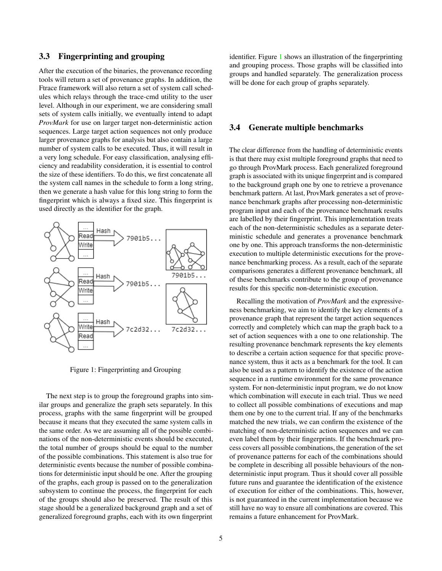#### 3.3 Fingerprinting and grouping

After the execution of the binaries, the provenance recording tools will return a set of provenance graphs. In addition, the Ftrace framework will also return a set of system call schedules which relays through the trace-cmd utility to the user level. Although in our experiment, we are considering small sets of system calls initially, we eventually intend to adapt *ProvMark* for use on larger target non-deterministic action sequences. Large target action sequences not only produce larger provenance graphs for analysis but also contain a large number of system calls to be executed. Thus, it will result in a very long schedule. For easy classification, analysing efficiency and readability consideration, it is essential to control the size of these identifiers. To do this, we first concatenate all the system call names in the schedule to form a long string, then we generate a hash value for this long string to form the fingerprint which is always a fixed size. This fingerprint is used directly as the identifier for the graph.

<span id="page-4-0"></span>

Figure 1: Fingerprinting and Grouping

The next step is to group the foreground graphs into similar groups and generalize the graph sets separately. In this process, graphs with the same fingerprint will be grouped because it means that they executed the same system calls in the same order. As we are assuming all of the possible combinations of the non-deterministic events should be executed, the total number of groups should be equal to the number of the possible combinations. This statement is also true for deterministic events because the number of possible combinations for deterministic input should be one. After the grouping of the graphs, each group is passed on to the generalization subsystem to continue the process, the fingerprint for each of the groups should also be preserved. The result of this stage should be a generalized background graph and a set of generalized foreground graphs, each with its own fingerprint

identifier. Figure [1](#page-4-0) shows an illustration of the fingerprinting and grouping process. Those graphs will be classified into groups and handled separately. The generalization process will be done for each group of graphs separately.

#### 3.4 Generate multiple benchmarks

The clear difference from the handling of deterministic events is that there may exist multiple foreground graphs that need to go through ProvMark process. Each generalized foreground graph is associated with its unique fingerprint and is compared to the background graph one by one to retrieve a provenance benchmark pattern. At last, ProvMark generates a set of provenance benchmark graphs after processing non-deterministic program input and each of the provenance benchmark results are labelled by their fingerprint. This implementation treats each of the non-deterministic schedules as a separate deterministic schedule and generates a provenance benchmark one by one. This approach transforms the non-deterministic execution to multiple deterministic executions for the provenance benchmarking process. As a result, each of the separate comparisons generates a different provenance benchmark, all of these benchmarks contribute to the group of provenance results for this specific non-deterministic execution.

Recalling the motivation of *ProvMark* and the expressiveness benchmarking, we aim to identify the key elements of a provenance graph that represent the target action sequences correctly and completely which can map the graph back to a set of action sequences with a one to one relationship. The resulting provenance benchmark represents the key elements to describe a certain action sequence for that specific provenance system, thus it acts as a benchmark for the tool. It can also be used as a pattern to identify the existence of the action sequence in a runtime environment for the same provenance system. For non-deterministic input program, we do not know which combination will execute in each trial. Thus we need to collect all possible combinations of executions and map them one by one to the current trial. If any of the benchmarks matched the new trials, we can confirm the existence of the matching of non-deterministic action sequences and we can even label them by their fingerprints. If the benchmark process covers all possible combinations, the generation of the set of provenance patterns for each of the combinations should be complete in describing all possible behaviours of the nondeterministic input program. Thus it should cover all possible future runs and guarantee the identification of the existence of execution for either of the combinations. This, however, is not guaranteed in the current implementation because we still have no way to ensure all combinations are covered. This remains a future enhancement for ProvMark.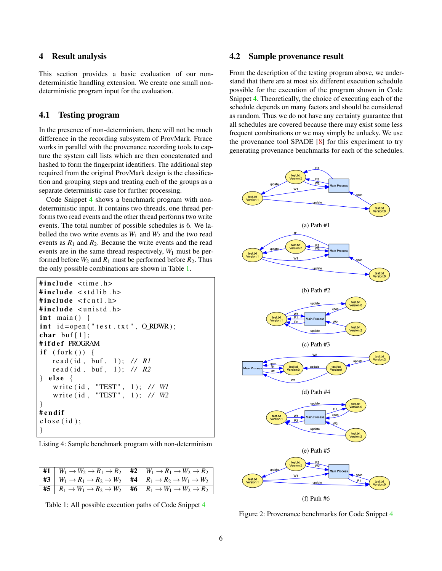## <span id="page-5-0"></span>4 Result analysis

This section provides a basic evaluation of our nondeterministic handling extension. We create one small nondeterministic program input for the evaluation.

#### 4.1 Testing program

In the presence of non-determinism, there will not be much difference in the recording subsystem of ProvMark. Ftrace works in parallel with the provenance recording tools to capture the system call lists which are then concatenated and hashed to form the fingerprint identifiers. The additional step required from the original ProvMark design is the classification and grouping steps and treating each of the groups as a separate deterministic case for further processing.

Code Snippet [4](#page-5-1) shows a benchmark program with nondeterministic input. It contains two threads, one thread performs two read events and the other thread performs two write events. The total number of possible schedules is 6. We labelled the two write events as  $W_1$  and  $W_2$  and the two read events as  $R_1$  and  $R_2$ . Because the write events and the read events are in the same thread respectively, *W*<sup>1</sup> must be performed before  $W_2$  and  $R_1$  must be performed before  $R_2$ . Thus the only possible combinations are shown in Table [1.](#page-5-2)

```
#include lt; time.h>#include < stdlib h>\#include \leq f c n t l . h >#include <unistd.h>
int main () {
int id = open("test.txt", O_RDWR);char buf [1]:
#ifdef PROGRAM
if (fork()) {
   read (id, buf, 1); // R1
   read (id, buf, 1); // R2
\} else {
   write (id, "TEST", 1); // W1
   write (id, "TEST", 1); // W2
}
# e n di f
close(i d);
}
```
Listing 4: Sample benchmark program with non-determinism

<span id="page-5-2"></span>

| $\begin{array}{ c c c c c c }\hline \textbf{\#1} & W_1 \rightarrow W_2 \rightarrow R_1 \rightarrow R_2 & \textbf{\#2} & W_1 \rightarrow R_1 \rightarrow W_2 \rightarrow R_2 \\\hline \end{array}$                          |  |
|----------------------------------------------------------------------------------------------------------------------------------------------------------------------------------------------------------------------------|--|
| $\begin{array}{ c c c c c c }\hline \textbf{\#3} & W_1 \rightarrow R_1 \rightarrow R_2 \rightarrow W_2 & \textbf{\#4} & R_1 \rightarrow R_2 \rightarrow W_1 \rightarrow W_2 \hline \end{array}$                            |  |
| $\begin{array}{ c c c c c c c c c } \hline \textbf{\#5} & R_1 \rightarrow W_1 \rightarrow R_2 \rightarrow W_2 \rightarrow W_2 \rightarrow W_2 \rightarrow W_2 \rightarrow W_2 \rightarrow W_2 \rightarrow W_2 \end{array}$ |  |

Table 1: All possible execution paths of Code Snippet [4](#page-5-1)

#### 4.2 Sample provenance result

From the description of the testing program above, we understand that there are at most six different execution schedule possible for the execution of the program shown in Code Snippet [4.](#page-5-1) Theoretically, the choice of executing each of the schedule depends on many factors and should be considered as random. Thus we do not have any certainty guarantee that all schedules are covered because there may exist some less frequent combinations or we may simply be unlucky. We use the provenance tool SPADE [\[8\]](#page-8-2) for this experiment to try generating provenance benchmarks for each of the schedules.

<span id="page-5-3"></span>

Figure 2: Provenance benchmarks for Code Snippet [4](#page-5-1)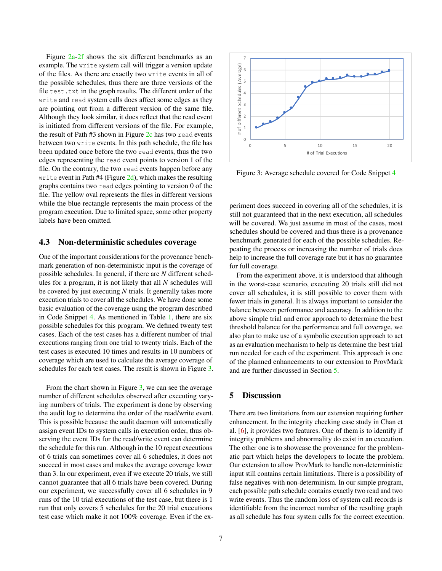Figure [2a-2f](#page-5-3) shows the six different benchmarks as an example. The write system call will trigger a version update of the files. As there are exactly two write events in all of the possible schedules, thus there are three versions of the file test.txt in the graph results. The different order of the write and read system calls does affect some edges as they are pointing out from a different version of the same file. Although they look similar, it does reflect that the read event is initiated from different versions of the file. For example, the result of Path  $#3$  shown in Figure  $2c$  has two read events between two write events. In this path schedule, the file has been updated once before the two read events, thus the two edges representing the read event points to version 1 of the file. On the contrary, the two read events happen before any write event in Path #4 (Figure  $2d$ ), which makes the resulting graphs contains two read edges pointing to version 0 of the file. The yellow oval represents the files in different versions while the blue rectangle represents the main process of the program execution. Due to limited space, some other property labels have been omitted.

#### 4.3 Non-deterministic schedules coverage

One of the important considerations for the provenance benchmark generation of non-deterministic input is the coverage of possible schedules. In general, if there are *N* different schedules for a program, it is not likely that all *N* schedules will be covered by just executing *N* trials. It generally takes more execution trials to cover all the schedules. We have done some basic evaluation of the coverage using the program described in Code Snippet [4.](#page-5-1) As mentioned in Table [1,](#page-5-2) there are six possible schedules for this program. We defined twenty test cases. Each of the test cases has a different number of trial executions ranging from one trial to twenty trials. Each of the test cases is executed 10 times and results in 10 numbers of coverage which are used to calculate the average coverage of schedules for each test cases. The result is shown in Figure [3.](#page-6-1)

From the chart shown in Figure [3,](#page-6-1) we can see the average number of different schedules observed after executing varying numbers of trials. The experiment is done by observing the audit log to determine the order of the read/write event. This is possible because the audit daemon will automatically assign event IDs to system calls in execution order, thus observing the event IDs for the read/write event can determine the schedule for this run. Although in the 10 repeat executions of 6 trials can sometimes cover all 6 schedules, it does not succeed in most cases and makes the average coverage lower than 3. In our experiment, even if we execute 20 trials, we still cannot guarantee that all 6 trials have been covered. During our experiment, we successfully cover all 6 schedules in 9 runs of the 10 trial executions of the test case, but there is 1 run that only covers 5 schedules for the 20 trial executions test case which make it not 100% coverage. Even if the ex-



7

<span id="page-6-1"></span>

Figure 3: Average schedule covered for Code Snippet [4](#page-5-1)

periment does succeed in covering all of the schedules, it is still not guaranteed that in the next execution, all schedules will be covered. We just assume in most of the cases, most schedules should be covered and thus there is a provenance benchmark generated for each of the possible schedules. Repeating the process or increasing the number of trials does help to increase the full coverage rate but it has no guarantee for full coverage.

From the experiment above, it is understood that although in the worst-case scenario, executing 20 trials still did not cover all schedules, it is still possible to cover them with fewer trials in general. It is always important to consider the balance between performance and accuracy. In addition to the above simple trial and error approach to determine the best threshold balance for the performance and full coverage, we also plan to make use of a symbolic execution approach to act as an evaluation mechanism to help us determine the best trial run needed for each of the experiment. This approach is one of the planned enhancements to our extension to ProvMark and are further discussed in Section [5.](#page-6-0)

# <span id="page-6-0"></span>5 Discussion

There are two limitations from our extension requiring further enhancement. In the integrity checking case study in Chan et al. [\[6\]](#page-8-9), it provides two features. One of them is to identify if integrity problems and abnormality do exist in an execution. The other one is to showcase the provenance for the problematic part which helps the developers to locate the problem. Our extension to allow ProvMark to handle non-deterministic input still contains certain limitations. There is a possibility of false negatives with non-determinism. In our simple program, each possible path schedule contains exactly two read and two write events. Thus the random loss of system call records is identifiable from the incorrect number of the resulting graph as all schedule has four system calls for the correct execution.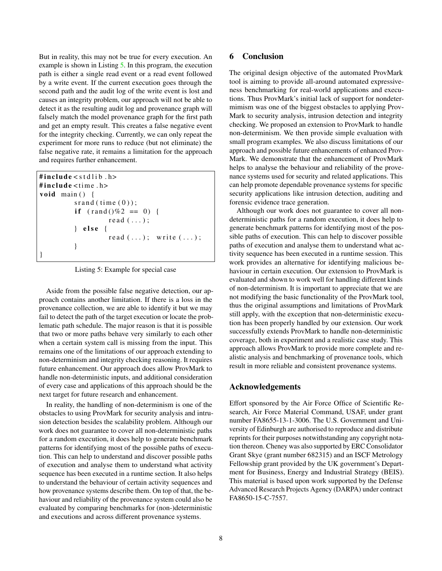But in reality, this may not be true for every execution. An example is shown in Listing [5.](#page-7-1) In this program, the execution path is either a single read event or a read event followed by a write event. If the current execution goes through the second path and the audit log of the write event is lost and causes an integrity problem, our approach will not be able to detect it as the resulting audit log and provenance graph will falsely match the model provenance graph for the first path and get an empty result. This creates a false negative event for the integrity checking. Currently, we can only repeat the experiment for more runs to reduce (but not eliminate) the false negative rate, it remains a limitation for the approach and requires further enhancement.

```
\#include < \text{stud}\text{e} \lt \text{stdlib}. \text{h}#include t = 1void main () {
            s r and ( time (0) );
            if (rand ()\%2 == 0) {
                        read (...);} else {
                        read (\ldots); write (\ldots);}
}
```
Listing 5: Example for special case

Aside from the possible false negative detection, our approach contains another limitation. If there is a loss in the provenance collection, we are able to identify it but we may fail to detect the path of the target execution or locate the problematic path schedule. The major reason is that it is possible that two or more paths behave very similarly to each other when a certain system call is missing from the input. This remains one of the limitations of our approach extending to non-determinism and integrity checking reasoning. It requires future enhancement. Our approach does allow ProvMark to handle non-deterministic inputs, and additional consideration of every case and applications of this approach should be the next target for future research and enhancement.

In reality, the handling of non-determinism is one of the obstacles to using ProvMark for security analysis and intrusion detection besides the scalability problem. Although our work does not guarantee to cover all non-deterministic paths for a random execution, it does help to generate benchmark patterns for identifying most of the possible paths of execution. This can help to understand and discover possible paths of execution and analyse them to understand what activity sequence has been executed in a runtime section. It also helps to understand the behaviour of certain activity sequences and how provenance systems describe them. On top of that, the behaviour and reliability of the provenance system could also be evaluated by comparing benchmarks for (non-)deterministic and executions and across different provenance systems.

# <span id="page-7-0"></span>6 Conclusion

The original design objective of the automated ProvMark tool is aiming to provide all-around automated expressiveness benchmarking for real-world applications and executions. Thus ProvMark's initial lack of support for nondetermimism was one of the biggest obstacles to applying Prov-Mark to security analysis, intrusion detection and integrity checking. We proposed an extension to ProvMark to handle non-determinism. We then provide simple evaluation with small program examples. We also discuss limitations of our approach and possible future enhancements of enhanced Prov-Mark. We demonstrate that the enhancement of ProvMark helps to analyse the behaviour and reliability of the provenance systems used for security and related applications. This can help promote dependable provenance systems for specific security applications like intrusion detection, auditing and forensic evidence trace generation.

Although our work does not guarantee to cover all nondeterministic paths for a random execution, it does help to generate benchmark patterns for identifying most of the possible paths of execution. This can help to discover possible paths of execution and analyse them to understand what activity sequence has been executed in a runtime session. This work provides an alternative for identifying malicious behaviour in certain execution. Our extension to ProvMark is evaluated and shown to work well for handling different kinds of non-determinism. It is important to appreciate that we are not modifying the basic functionality of the ProvMark tool, thus the original assumptions and limitations of ProvMark still apply, with the exception that non-deterministic execution has been properly handled by our extension. Our work successfully extends ProvMark to handle non-deterministic coverage, both in experiment and a realistic case study. This approach allows ProvMark to provide more complete and realistic analysis and benchmarking of provenance tools, which result in more reliable and consistent provenance systems.

#### Acknowledgements

Effort sponsored by the Air Force Office of Scientific Research, Air Force Material Command, USAF, under grant number FA8655-13-1-3006. The U.S. Government and University of Edinburgh are authorised to reproduce and distribute reprints for their purposes notwithstanding any copyright notation thereon. Cheney was also supported by ERC Consolidator Grant Skye (grant number 682315) and an ISCF Metrology Fellowship grant provided by the UK government's Department for Business, Energy and Industrial Strategy (BEIS). This material is based upon work supported by the Defense Advanced Research Projects Agency (DARPA) under contract FA8650-15-C-7557.